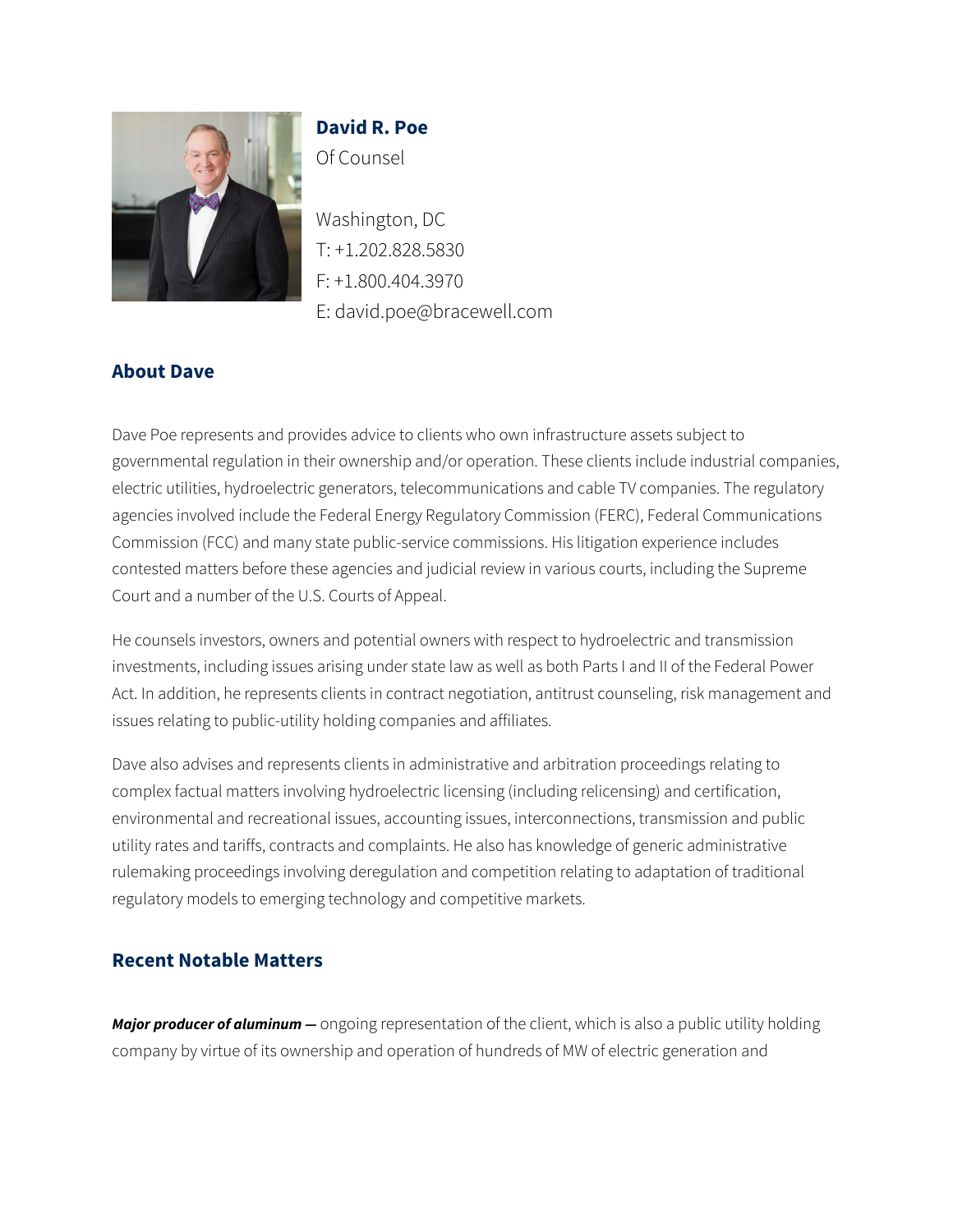

# **David R. Poe** Of Counsel

Washington, DC T: +1.202.828.5830 F: +1.800.404.3970 E: david.poe@bracewell.com

## **About Dave**

Dave Poe represents and provides advice to clients who own infrastructure assets subject to governmental regulation in their ownership and/or operation. These clients include industrial companies, electric utilities, hydroelectric generators, telecommunications and cable TV companies. The regulatory agencies involved include the Federal Energy Regulatory Commission (FERC), Federal Communications Commission (FCC) and many state public-service commissions. His litigation experience includes contested matters before these agencies and judicial review in various courts, including the Supreme Court and a number of the U.S. Courts of Appeal.

He counsels investors, owners and potential owners with respect to hydroelectric and transmission investments, including issues arising under state law as well as both Parts I and II of the Federal Power Act. In addition, he represents clients in contract negotiation, antitrust counseling, risk management and issues relating to public-utility holding companies and affiliates.

Dave also advises and represents clients in administrative and arbitration proceedings relating to complex factual matters involving hydroelectric licensing (including relicensing) and certification, environmental and recreational issues, accounting issues, interconnections, transmission and public utility rates and tariffs, contracts and complaints. He also has knowledge of generic administrative rulemaking proceedings involving deregulation and competition relating to adaptation of traditional regulatory models to emerging technology and competitive markets.

## **Recent Notable Matters**

*Major producer of aluminum —* ongoing representation of the client, which is also a public utility holding company by virtue of its ownership and operation of hundreds of MW of electric generation and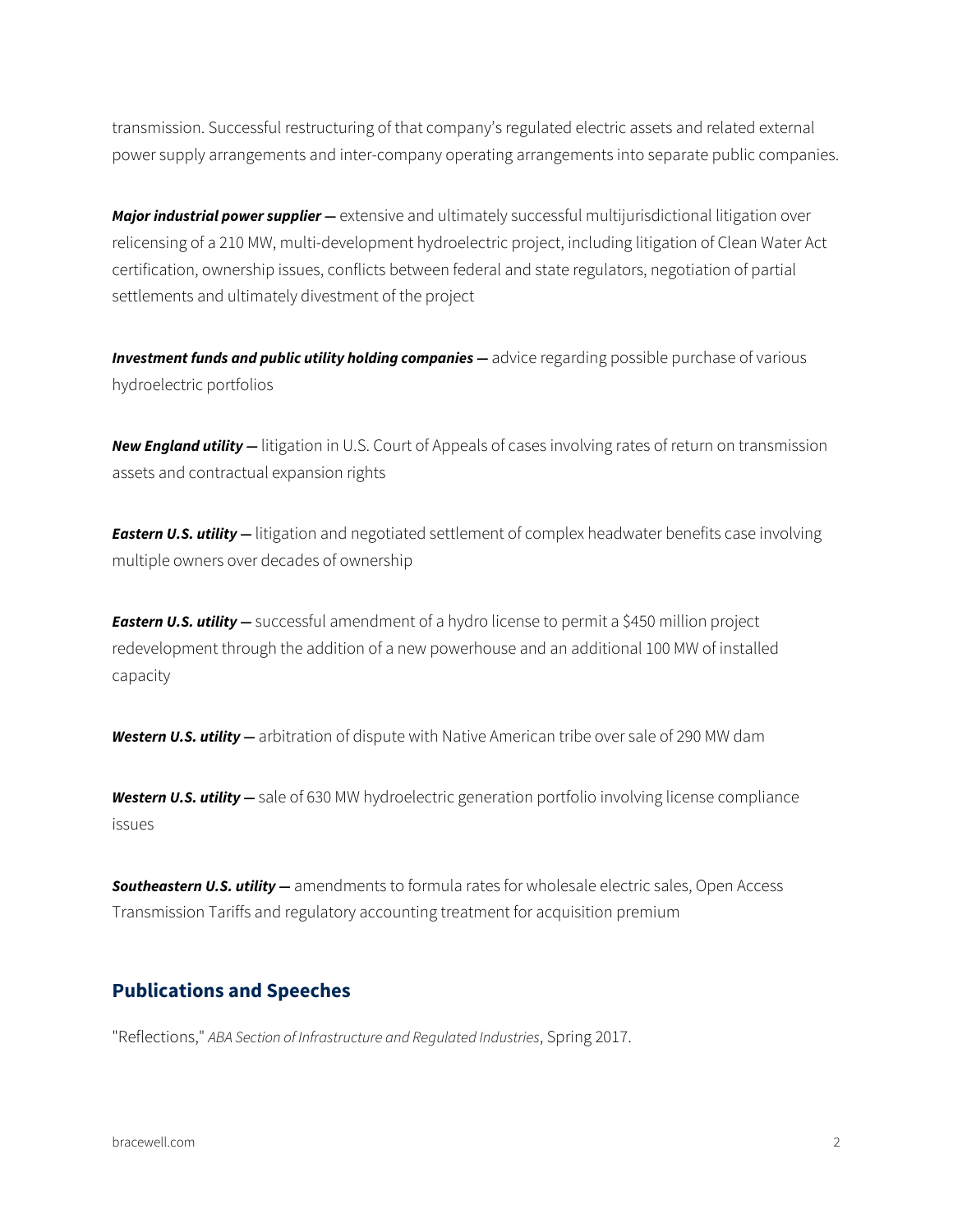transmission. Successful restructuring of that company's regulated electric assets and related external power supply arrangements and inter-company operating arrangements into separate public companies.

*Major industrial power supplier* — extensive and ultimately successful multijurisdictional litigation over relicensing of a 210 MW, multi-development hydroelectric project, including litigation of Clean Water Act certification, ownership issues, conflicts between federal and state regulators, negotiation of partial settlements and ultimately divestment of the project

**Investment funds and public utility holding companies** — advice regarding possible purchase of various hydroelectric portfolios

*New England utility —* litigation in U.S. Court of Appeals of cases involving rates of return on transmission assets and contractual expansion rights

*Eastern U.S. utility —* litigation and negotiated settlement of complex headwater benefits case involving multiple owners over decades of ownership

*Eastern U.S. utility —* successful amendment of a hydro license to permit a \$450 million project redevelopment through the addition of a new powerhouse and an additional 100 MW of installed capacity

*Western U.S. utility —* arbitration of dispute with Native American tribe over sale of 290 MW dam

*Western U.S. utility —* sale of 630 MW hydroelectric generation portfolio involving license compliance issues

*Southeastern U.S. utility —* amendments to formula rates for wholesale electric sales, Open Access Transmission Tariffs and regulatory accounting treatment for acquisition premium

#### **Publications and Speeches**

"Reflections," *ABA Section of Infrastructure and Regulated Industries*, Spring 2017.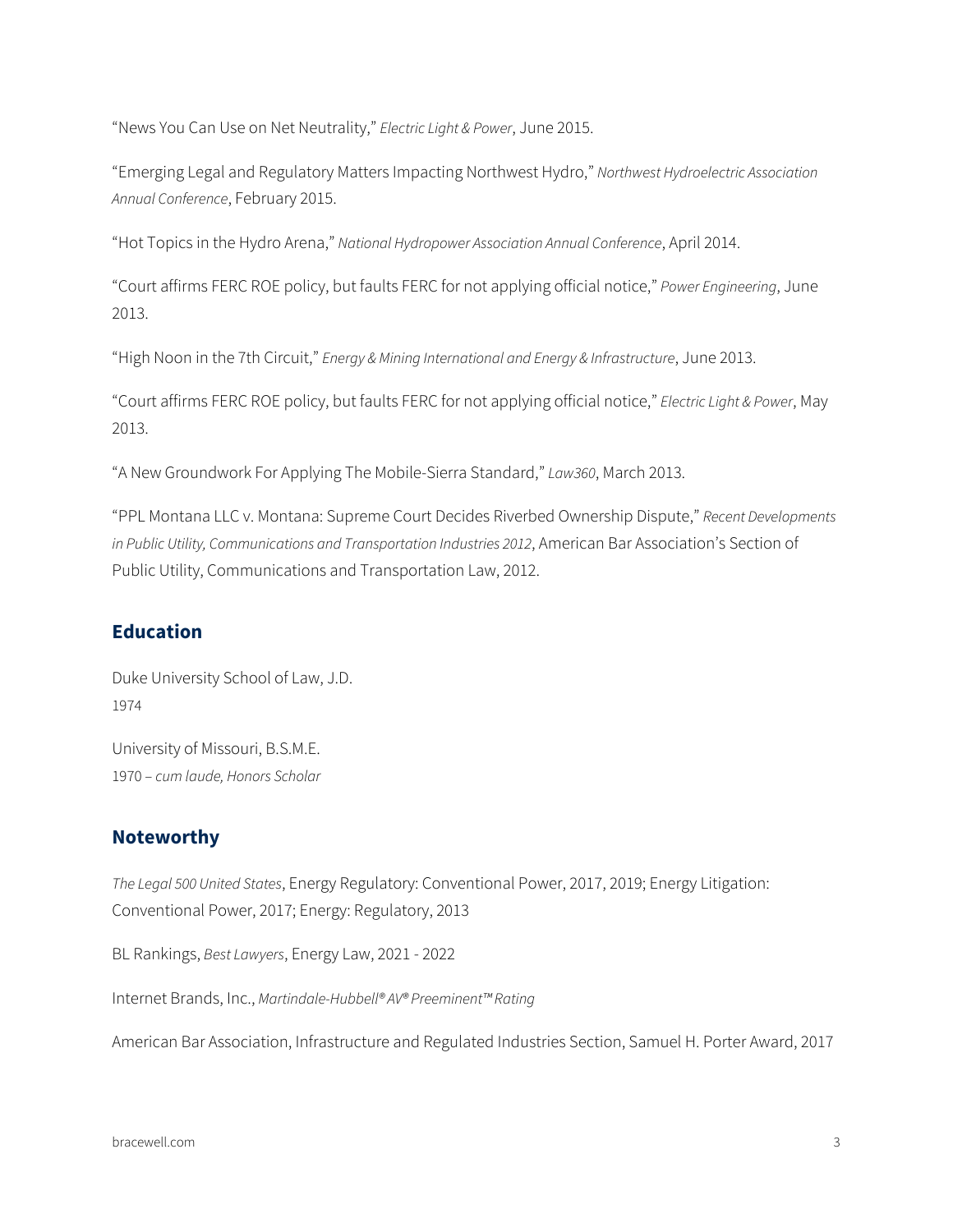"News You Can Use on Net Neutrality," *Electric Light & Power*, June 2015.

"Emerging Legal and Regulatory Matters Impacting Northwest Hydro," *Northwest Hydroelectric Association Annual Conference*, February 2015.

"Hot Topics in the Hydro Arena," *National Hydropower Association Annual Conference*, April 2014.

"Court affirms FERC ROE policy, but faults FERC for not applying official notice," *Power Engineering*, June 2013.

"High Noon in the 7th Circuit," *Energy & Mining International and Energy & Infrastructure*, June 2013.

"Court affirms FERC ROE policy, but faults FERC for not applying official notice," *Electric Light & Power*, May 2013.

"A New Groundwork For Applying The Mobile-Sierra Standard," *Law360*, March 2013.

"PPL Montana LLC v. Montana: Supreme Court Decides Riverbed Ownership Dispute," *Recent Developments in Public Utility, Communications and Transportation Industries 2012*, American Bar Association's Section of Public Utility, Communications and Transportation Law, 2012.

#### **Education**

Duke University School of Law, J.D. 1974

University of Missouri, B.S.M.E. 1970 – *cum laude, Honors Scholar*

#### **Noteworthy**

*The Legal 500 United States*, Energy Regulatory: Conventional Power, 2017, 2019; Energy Litigation: Conventional Power, 2017; Energy: Regulatory, 2013

BL Rankings, *Best Lawyers*, Energy Law, 2021 - 2022

Internet Brands, Inc., *Martindale-Hubbell® AV® Preeminent™ Rating*

American Bar Association, Infrastructure and Regulated Industries Section, Samuel H. Porter Award, 2017